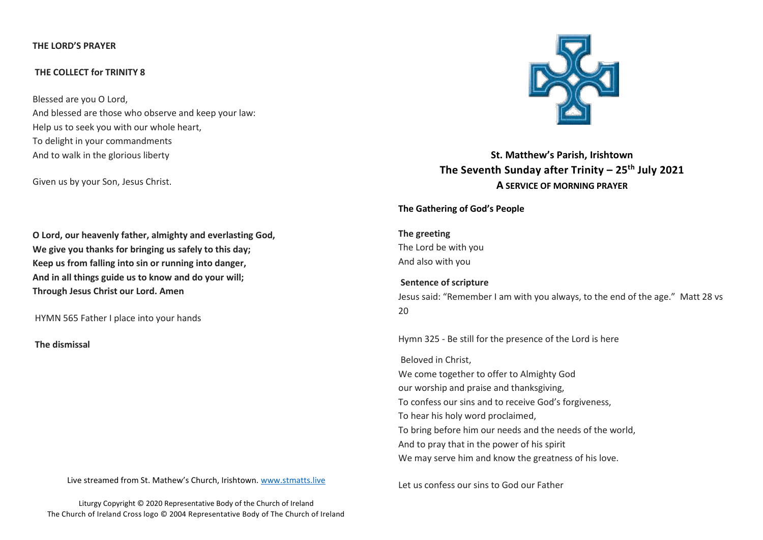## **THE LORD'S PRAYER**

## **THE COLLECT for TRINITY 8**

Blessed are you O Lord, And blessed are those who observe and keep your law: Help us to seek you with our whole heart, To delight in your commandments And to walk in the glorious liberty

Given us by your Son, Jesus Christ.

**O Lord, our heavenly father, almighty and everlasting God, We give you thanks for bringing us safely to this day; Keep us from falling into sin or running into danger, And in all things guide us to know and do your will; Through Jesus Christ our Lord. Amen**

HYMN 565 Father I place into your hands

**The dismissal**

Live streamed from St. Mathew's Church, Irishtown. [www.stmatts.live](http://www.stmatts.live/)



**St. Matthew's Parish, Irishtown The Seventh Sunday after Trinity – 25th July 2021 A SERVICE OF MORNING PRAYER**

**The Gathering of God's People** 

**The greeting** The Lord be with you And also with you

**Sentence of scripture** Jesus said: "Remember I am with you always, to the end of the age." Matt 28 vs  $20$ 

Hymn 325 - Be still for the presence of the Lord is here

Beloved in Christ, We come together to offer to Almighty God our worship and praise and thanksgiving, To confess our sins and to receive God's forgiveness, To hear his holy word proclaimed, To bring before him our needs and the needs of the world, And to pray that in the power of his spirit We may serve him and know the greatness of his love.

Let us confess our sins to God our Father